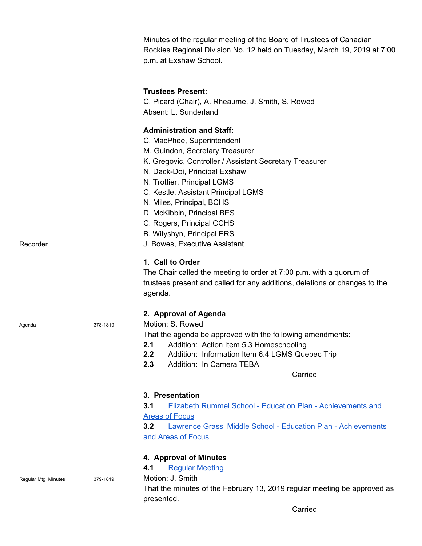Minutes of the regular meeting of the Board of Trustees of Canadian Rockies Regional Division No. 12 held on Tuesday, March 19, 2019 at 7:00 p.m. at Exshaw School.

## **Trustees Present:**

C. Picard (Chair), A. Rheaume, J. Smith, S. Rowed Absent: L. Sunderland

**Administration and Staff:** C. MacPhee, Superintendent M. Guindon, Secretary Treasurer K. Gregovic, Controller / Assistant Secretary Treasurer N. Dack-Doi, Principal Exshaw N. Trottier, Principal LGMS C. Kestle, Assistant Principal LGMS N. Miles, Principal, BCHS D. McKibbin, Principal BES C. Rogers, Principal CCHS B. Wityshyn, Principal ERS Recorder **Network J. Bowes, Executive Assistant 1. Call to Order** The Chair called the meeting to order at 7:00 p.m. with a quorum of trustees present and called for any additions, deletions or changes to the agenda. **2. Approval of Agenda** Agenda 378-1819 Motion: S. Rowed That the agenda be approved with the following amendments: **2.1** Addition: Action Item 5.3 Homeschooling **2.2** Addition: Information Item 6.4 LGMS Quebec Trip **2.3** Addition: In Camera TEBA Carried **3. Presentation 3.1** Elizabeth Rummel School - Education Plan - [Achievements](https://crps.ca/documents/general/Elizabeth%20Rummel%20Three%20Year%20Plan%202018-2021%20Board%20Presentation.pdf) and Areas of [Focus](https://crps.ca/documents/general/Elizabeth%20Rummel%20Three%20Year%20Plan%202018-2021%20Board%20Presentation.pdf) **3.2** Lawrence Grassi Middle School - Education Plan - [Achievements](https://crps.ca/documents/general/2018-2019%20LGMS%20%20Three%20year%20Plan.pdf) and Areas of [Focus](https://crps.ca/documents/general/2018-2019%20LGMS%20%20Three%20year%20Plan.pdf) **4. Approval of Minutes 4.1** Regular [Meeting](https://crps.ca/documents/general/Minutes%20February%2013%202019.pdf) Regular Mtg Minutes 379-1819 Motion: J. Smith That the minutes of the February 13, 2019 regular meeting be approved as

presented.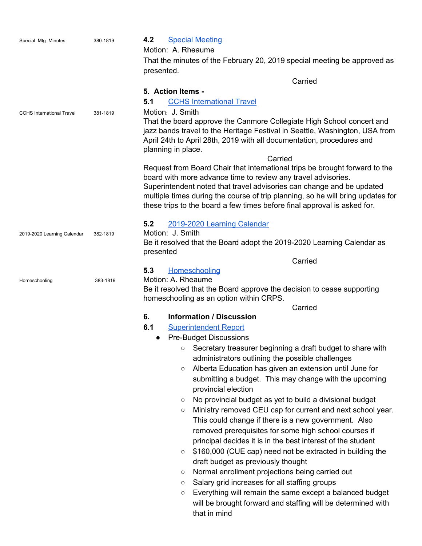| Special Mtg Minutes              | 380-1819 | <b>Special Meeting</b><br>4.2                                                                                                                                                                                                                       |  |  |  |  |
|----------------------------------|----------|-----------------------------------------------------------------------------------------------------------------------------------------------------------------------------------------------------------------------------------------------------|--|--|--|--|
|                                  |          | Motion: A. Rheaume                                                                                                                                                                                                                                  |  |  |  |  |
|                                  |          | That the minutes of the February 20, 2019 special meeting be approved as                                                                                                                                                                            |  |  |  |  |
|                                  |          | presented.                                                                                                                                                                                                                                          |  |  |  |  |
|                                  |          | Carried                                                                                                                                                                                                                                             |  |  |  |  |
|                                  |          | 5. Action Items -                                                                                                                                                                                                                                   |  |  |  |  |
|                                  |          | <b>CCHS International Travel</b><br>5.1                                                                                                                                                                                                             |  |  |  |  |
| <b>CCHS International Travel</b> | 381-1819 | Motion: J. Smith                                                                                                                                                                                                                                    |  |  |  |  |
|                                  |          | That the board approve the Canmore Collegiate High School concert and<br>jazz bands travel to the Heritage Festival in Seattle, Washington, USA from<br>April 24th to April 28th, 2019 with all documentation, procedures and<br>planning in place. |  |  |  |  |
|                                  |          | Carried                                                                                                                                                                                                                                             |  |  |  |  |
|                                  |          | Request from Board Chair that international trips be brought forward to the                                                                                                                                                                         |  |  |  |  |
|                                  |          | board with more advance time to review any travel advisories.                                                                                                                                                                                       |  |  |  |  |
|                                  |          | Superintendent noted that travel advisories can change and be updated                                                                                                                                                                               |  |  |  |  |
|                                  |          | multiple times during the course of trip planning, so he will bring updates for<br>these trips to the board a few times before final approval is asked for.                                                                                         |  |  |  |  |
|                                  |          | 5.2<br>2019-2020 Learning Calendar                                                                                                                                                                                                                  |  |  |  |  |
| 2019-2020 Learning Calendar      | 382-1819 | Motion: J. Smith                                                                                                                                                                                                                                    |  |  |  |  |
|                                  |          | Be it resolved that the Board adopt the 2019-2020 Learning Calendar as                                                                                                                                                                              |  |  |  |  |
|                                  |          | presented                                                                                                                                                                                                                                           |  |  |  |  |
|                                  |          | Carried                                                                                                                                                                                                                                             |  |  |  |  |
|                                  |          | 5.3<br>Homeschooling                                                                                                                                                                                                                                |  |  |  |  |
| Homeschooling                    | 383-1819 | Motion: A. Rheaume                                                                                                                                                                                                                                  |  |  |  |  |
|                                  |          | Be it resolved that the Board approve the decision to cease supporting<br>homeschooling as an option within CRPS.                                                                                                                                   |  |  |  |  |
|                                  |          | Carried                                                                                                                                                                                                                                             |  |  |  |  |
|                                  |          | 6.<br><b>Information / Discussion</b>                                                                                                                                                                                                               |  |  |  |  |
|                                  |          | 6.1<br><b>Superintendent Report</b>                                                                                                                                                                                                                 |  |  |  |  |
|                                  |          | <b>Pre-Budget Discussions</b><br>$\bullet$                                                                                                                                                                                                          |  |  |  |  |
|                                  |          | Secretary treasurer beginning a draft budget to share with<br>O<br>administrators outlining the possible challenges                                                                                                                                 |  |  |  |  |
|                                  |          | Alberta Education has given an extension until June for                                                                                                                                                                                             |  |  |  |  |
|                                  |          | $\circ$<br>submitting a budget. This may change with the upcoming                                                                                                                                                                                   |  |  |  |  |
|                                  |          | provincial election                                                                                                                                                                                                                                 |  |  |  |  |
|                                  |          | No provincial budget as yet to build a divisional budget<br>$\circlearrowright$                                                                                                                                                                     |  |  |  |  |
|                                  |          | Ministry removed CEU cap for current and next school year.<br>$\circlearrowright$                                                                                                                                                                   |  |  |  |  |
|                                  |          | This could change if there is a new government. Also                                                                                                                                                                                                |  |  |  |  |
|                                  |          | removed prerequisites for some high school courses if                                                                                                                                                                                               |  |  |  |  |
|                                  |          | principal decides it is in the best interest of the student                                                                                                                                                                                         |  |  |  |  |
|                                  |          | \$160,000 (CUE cap) need not be extracted in building the<br>$\circ$                                                                                                                                                                                |  |  |  |  |
|                                  |          | draft budget as previously thought                                                                                                                                                                                                                  |  |  |  |  |
|                                  |          | Normal enrollment projections being carried out<br>$\circ$                                                                                                                                                                                          |  |  |  |  |
|                                  |          | Salary grid increases for all staffing groups<br>O                                                                                                                                                                                                  |  |  |  |  |

○ Everything will remain the same except a balanced budget will be brought forward and staffing will be determined with that in mind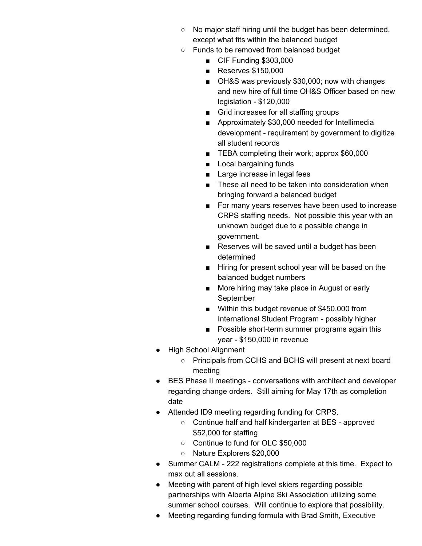- No major staff hiring until the budget has been determined, except what fits within the balanced budget
- Funds to be removed from balanced budget
	- CIF Funding \$303,000
	- Reserves \$150,000
	- OH&S was previously \$30,000; now with changes and new hire of full time OH&S Officer based on new legislation - \$120,000
	- Grid increases for all staffing groups
	- Approximately \$30,000 needed for Intellimedia development - requirement by government to digitize all student records
	- TEBA completing their work; approx \$60,000
	- Local bargaining funds
	- Large increase in legal fees
	- These all need to be taken into consideration when bringing forward a balanced budget
	- For many years reserves have been used to increase CRPS staffing needs. Not possible this year with an unknown budget due to a possible change in government.
	- Reserves will be saved until a budget has been determined
	- Hiring for present school year will be based on the balanced budget numbers
	- More hiring may take place in August or early September
	- Within this budget revenue of \$450,000 from International Student Program - possibly higher
	- Possible short-term summer programs again this year - \$150,000 in revenue
- High School Alignment
	- Principals from CCHS and BCHS will present at next board meeting
- BES Phase II meetings conversations with architect and developer regarding change orders. Still aiming for May 17th as completion date
- Attended ID9 meeting regarding funding for CRPS.
	- Continue half and half kindergarten at BES approved \$52,000 for staffing
	- Continue to fund for OLC \$50,000
	- Nature Explorers \$20,000
- Summer CALM 222 registrations complete at this time. Expect to max out all sessions.
- Meeting with parent of high level skiers regarding possible partnerships with Alberta Alpine Ski Association utilizing some summer school courses. Will continue to explore that possibility.
- Meeting regarding funding formula with Brad Smith, Executive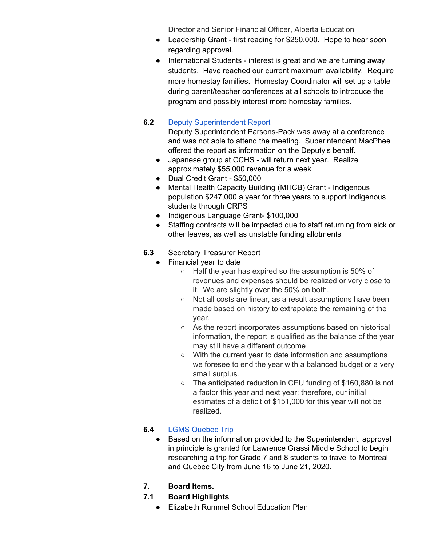Director and Senior Financial Officer, Alberta Education

- Leadership Grant first reading for \$250,000. Hope to hear soon regarding approval.
- International Students interest is great and we are turning away students. Have reached our current maximum availability. Require more homestay families. Homestay Coordinator will set up a table during parent/teacher conferences at all schools to introduce the program and possibly interest more homestay families.

# **6.2** Deputy [Superintendent](https://drive.google.com/file/d/15yvFPGK01VxoXXqOGjzpld-BitGZHKeP/view?usp=sharing) Report

Deputy Superintendent Parsons-Pack was away at a conference and was not able to attend the meeting. Superintendent MacPhee offered the report as information on the Deputy's behalf.

- Japanese group at CCHS will return next year. Realize approximately \$55,000 revenue for a week
- Dual Credit Grant \$50,000
- Mental Health Capacity Building (MHCB) Grant Indigenous population \$247,000 a year for three years to support Indigenous students through CRPS
- Indigenous Language Grant- \$100,000
- Staffing contracts will be impacted due to staff returning from sick or other leaves, as well as unstable funding allotments

# **6.3** Secretary Treasurer Report

- Financial year to date
	- Half the year has expired so the assumption is 50% of revenues and expenses should be realized or very close to it. We are slightly over the 50% on both.
	- Not all costs are linear, as a result assumptions have been made based on history to extrapolate the remaining of the year.
	- As the report incorporates assumptions based on historical information, the report is qualified as the balance of the year may still have a different outcome
	- With the current year to date information and assumptions we foresee to end the year with a balanced budget or a very small surplus.
	- The anticipated reduction in CEU funding of \$160,880 is not a factor this year and next year; therefore, our initial estimates of a deficit of \$151,000 for this year will not be realized.

# **6.4** LGMS [Quebec](https://drive.google.com/file/d/18qgslFiZNwkWRfxzzGHCxatR-Dcjmx4m/view?usp=sharing) Trip

- Based on the information provided to the Superintendent, approval in principle is granted for Lawrence Grassi Middle School to begin researching a trip for Grade 7 and 8 students to travel to Montreal and Quebec City from June 16 to June 21, 2020.
- **7. Board Items.**
- **7.1 Board Highlights**
	- Elizabeth Rummel School Education Plan